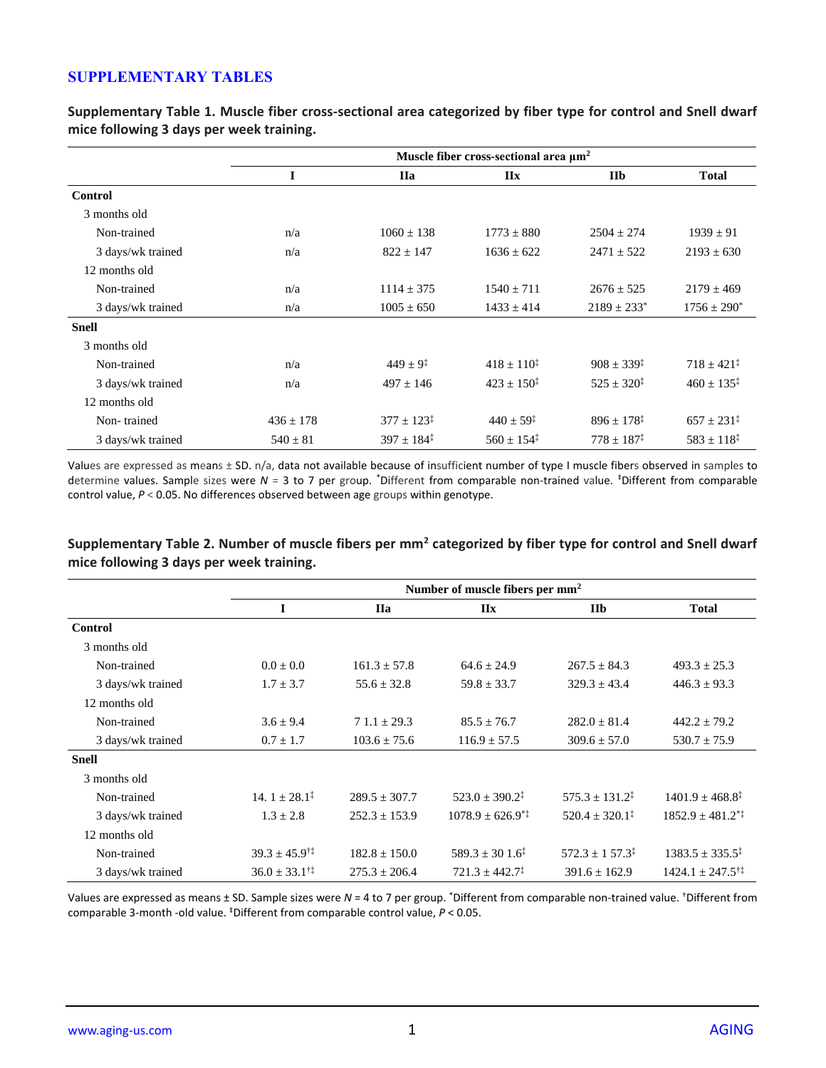## **SUPPLEMENTARY TABLES**

**Supplementary Table 1. Muscle fiber cross-sectional area categorized by fiber type for control and Snell dwarf mice following 3 days per week training.**

|                   | Muscle fiber cross-sectional area $\mu$ m <sup>2</sup> |                          |                          |                             |                          |  |
|-------------------|--------------------------------------------------------|--------------------------|--------------------------|-----------------------------|--------------------------|--|
|                   | I                                                      | <b>IIa</b>               | $\mathbf{II}$ <b>x</b>   | <b>IIb</b>                  | <b>Total</b>             |  |
| <b>Control</b>    |                                                        |                          |                          |                             |                          |  |
| 3 months old      |                                                        |                          |                          |                             |                          |  |
| Non-trained       | n/a                                                    | $1060 \pm 138$           | $1773 \pm 880$           | $2504 \pm 274$              | $1939 \pm 91$            |  |
| 3 days/wk trained | n/a                                                    | $822 \pm 147$            | $1636 \pm 622$           | $2471 \pm 522$              | $2193 \pm 630$           |  |
| 12 months old     |                                                        |                          |                          |                             |                          |  |
| Non-trained       | n/a                                                    | $1114 \pm 375$           | $1540 \pm 711$           | $2676 \pm 525$              | $2179 \pm 469$           |  |
| 3 days/wk trained | n/a                                                    | $1005 \pm 650$           | $1433 \pm 414$           | $2189 \pm 233$ <sup>*</sup> | $1756 \pm 290^*$         |  |
| <b>Snell</b>      |                                                        |                          |                          |                             |                          |  |
| 3 months old      |                                                        |                          |                          |                             |                          |  |
| Non-trained       | n/a                                                    | $449 \pm 9^{\ddagger}$   | $418 \pm 110^{\ddagger}$ | $908 \pm 339^{\ddagger}$    | $718 \pm 421^{\ddagger}$ |  |
| 3 days/wk trained | n/a                                                    | $497 \pm 146$            | $423 + 150^{\ddagger}$   | $525 + 320^{\ddagger}$      | $460 \pm 135^{\ddagger}$ |  |
| 12 months old     |                                                        |                          |                          |                             |                          |  |
| Non-trained       | $436 \pm 178$                                          | $377 \pm 123^{\ddagger}$ | $440 \pm 59^{\ddagger}$  | $896 \pm 178^{\ddagger}$    | $657 \pm 231^{\ddagger}$ |  |
| 3 days/wk trained | $540 \pm 81$                                           | $397 \pm 184^{\ddagger}$ | $560 \pm 154^{\ddagger}$ | $778 \pm 187^{\ddagger}$    | $583 \pm 118^{\ddagger}$ |  |

Values are expressed as means ± SD. n/a, data not available because of insufficient number of type I muscle fibers observed in samples to determine values. Sample sizes were N = 3 to 7 per group. <sup>\*</sup>Different from comparable non-trained value. <sup>‡</sup>Different from comparable control value, *P* < 0.05. No differences observed between age groups within genotype.

|                   | Number of muscle fibers per mm <sup>2</sup> |                   |                              |                               |                                      |  |
|-------------------|---------------------------------------------|-------------------|------------------------------|-------------------------------|--------------------------------------|--|
|                   | I                                           | <b>IIa</b>        | IIx                          | IIb                           | <b>Total</b>                         |  |
| Control           |                                             |                   |                              |                               |                                      |  |
| 3 months old      |                                             |                   |                              |                               |                                      |  |
| Non-trained       | $0.0 \pm 0.0$                               | $161.3 \pm 57.8$  | $64.6 \pm 24.9$              | $267.5 \pm 84.3$              | $493.3 \pm 25.3$                     |  |
| 3 days/wk trained | $1.7 \pm 3.7$                               | $55.6 \pm 32.8$   | $59.8 \pm 33.7$              | $329.3 \pm 43.4$              | $446.3 \pm 93.3$                     |  |
| 12 months old     |                                             |                   |                              |                               |                                      |  |
| Non-trained       | $3.6 \pm 9.4$                               | $71.1 \pm 29.3$   | $85.5 \pm 76.7$              | $282.0 \pm 81.4$              | $442.2 \pm 79.2$                     |  |
| 3 days/wk trained | $0.7 \pm 1.7$                               | $103.6 \pm 75.6$  | $116.9 \pm 57.5$             | $309.6 \pm 57.0$              | $530.7 \pm 75.9$                     |  |
| <b>Snell</b>      |                                             |                   |                              |                               |                                      |  |
| 3 months old      |                                             |                   |                              |                               |                                      |  |
| Non-trained       | $14.1 + 28.1^{\ddagger}$                    | $289.5 \pm 307.7$ | $523.0 \pm 390.2^{\ddagger}$ | $575.3 \pm 131.2^{\ddagger}$  | $1401.9 \pm 468.8^{\ddagger}$        |  |
| 3 days/wk trained | $1.3 \pm 2.8$                               | $252.3 \pm 153.9$ | $1078.9 \pm 626.9^{*}$       | $520.4 + 320.1^{\ddagger}$    | $1852.9 \pm 481.2$ <sup>*</sup>      |  |
| 12 months old     |                                             |                   |                              |                               |                                      |  |
| Non-trained       | $39.3 \pm 45.9^{\dagger\ddagger}$           | $182.8 \pm 150.0$ | $589.3 \pm 301.6^{\ddagger}$ | $572.3 \pm 1.57.3^{\ddagger}$ | $1383.5 \pm 335.5^{\ddagger}$        |  |
| 3 days/wk trained | $36.0 \pm 33.1^{\dagger\ddagger}$           | $275.3 \pm 206.4$ | $721.3 \pm 442.7^{\ddagger}$ | $391.6 \pm 162.9$             | $1424.1 \pm 247.5^{\dagger\ddagger}$ |  |

**Supplementary Table 2. Number of muscle fibers per mm<sup>2</sup> categorized by fiber type for control and Snell dwarf mice following 3 days per week training.**

Values are expressed as means ± SD. Sample sizes were *N* = 4 to 7 per group. \*Different from comparable non-trained value. †Different from comparable 3-month -old value. ‡Different from comparable control value, *P* < 0.05.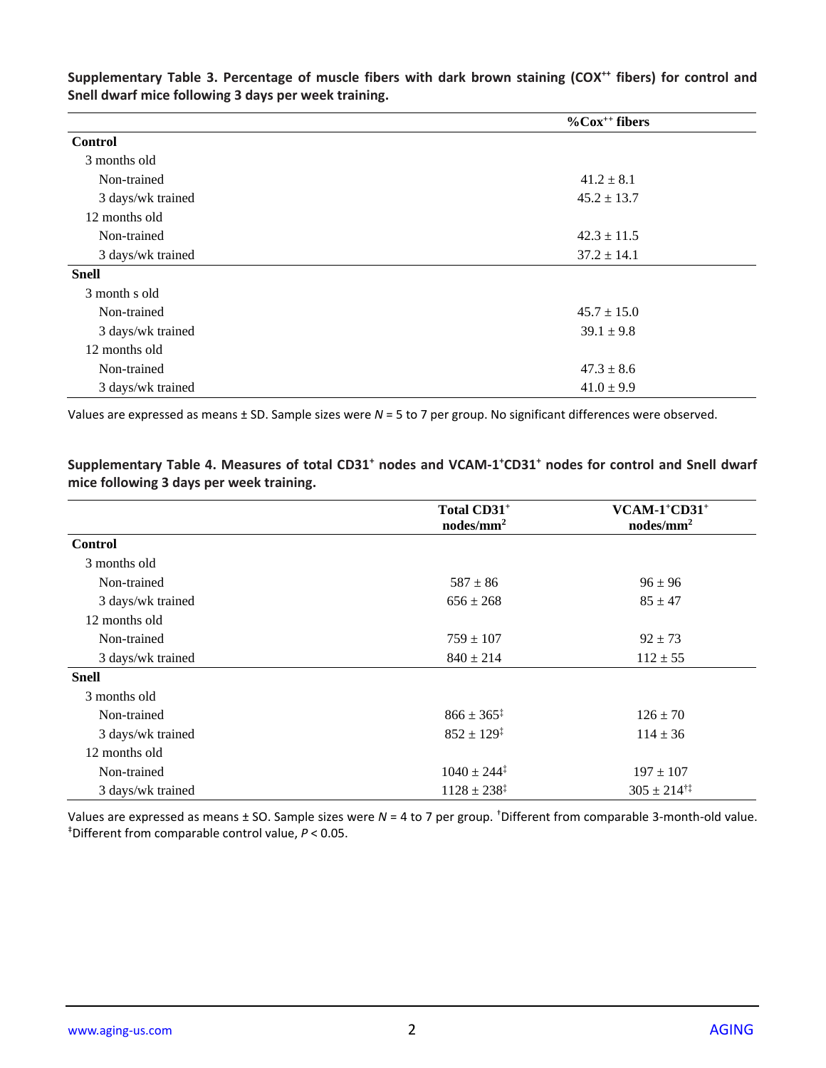|                   | $\%$ Cox <sup>++</sup> fibers |
|-------------------|-------------------------------|
| <b>Control</b>    |                               |
| 3 months old      |                               |
| Non-trained       | $41.2 \pm 8.1$                |
| 3 days/wk trained | $45.2 \pm 13.7$               |
| 12 months old     |                               |
| Non-trained       | $42.3 \pm 11.5$               |
| 3 days/wk trained | $37.2 \pm 14.1$               |
| <b>Snell</b>      |                               |
| 3 month s old     |                               |
| Non-trained       | $45.7 \pm 15.0$               |
| 3 days/wk trained | $39.1 \pm 9.8$                |
| 12 months old     |                               |
| Non-trained       | $47.3 \pm 8.6$                |
| 3 days/wk trained | $41.0 \pm 9.9$                |

Supplementary Table 3. Percentage of muscle fibers with dark brown staining (COX<sup>++</sup> fibers) for control and **Snell dwarf mice following 3 days per week training.**

Values are expressed as means ± SD. Sample sizes were *N* = 5 to 7 per group. No significant differences were observed.

**Supplementary Table 4. Measures of total CD31<sup>+</sup> nodes and VCAM-1 <sup>+</sup>CD31 <sup>+</sup> nodes for control and Snell dwarf mice following 3 days per week training.**

|                   | Total CD31+<br>$nodes/mm^2$ | $VCAM-1$ <sup>+</sup> $CD31$ <sup>+</sup><br>$nodes/mm^2$ |
|-------------------|-----------------------------|-----------------------------------------------------------|
| <b>Control</b>    |                             |                                                           |
| 3 months old      |                             |                                                           |
| Non-trained       | $587 \pm 86$                | $96 \pm 96$                                               |
| 3 days/wk trained | $656 \pm 268$               | $85 \pm 47$                                               |
| 12 months old     |                             |                                                           |
| Non-trained       | $759 \pm 107$               | $92 \pm 73$                                               |
| 3 days/wk trained | $840 \pm 214$               | $112 \pm 55$                                              |
| <b>Snell</b>      |                             |                                                           |
| 3 months old      |                             |                                                           |
| Non-trained       | $866 \pm 365^{\ddagger}$    | $126 \pm 70$                                              |
| 3 days/wk trained | $852 \pm 129^{\ddagger}$    | $114 \pm 36$                                              |
| 12 months old     |                             |                                                           |
| Non-trained       | $1040 \pm 244^{\ddagger}$   | $197 \pm 107$                                             |
| 3 days/wk trained | $1128 \pm 238^{\ddagger}$   | $305 \pm 214$ <sup>†‡</sup>                               |

Values are expressed as means ± SO. Sample sizes were *N* = 4 to 7 per group. †Different from comparable 3-month-old value. ‡Different from comparable control value, *P* < 0.05.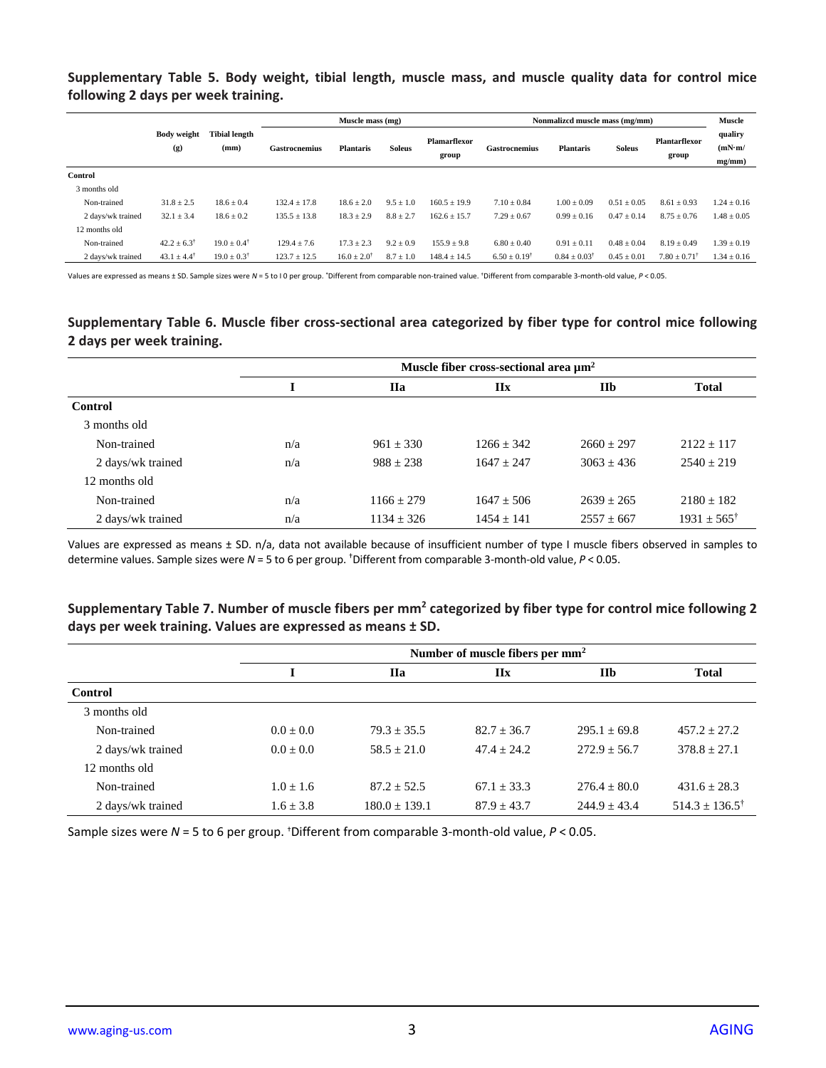**Supplementary Table 5. Body weight, tibial length, muscle mass, and muscle quality data for control mice following 2 days per week training.**

|                   |                           |                              |                      | Muscle mass (mg)         |               |                              | Nonmalized muscle mass (mg/mm) |                           |                 |                               | <b>Muscle</b>               |
|-------------------|---------------------------|------------------------------|----------------------|--------------------------|---------------|------------------------------|--------------------------------|---------------------------|-----------------|-------------------------------|-----------------------------|
|                   | <b>Body weight</b><br>(g) | <b>Tibial length</b><br>(mm) | <b>Gastrocnemius</b> | <b>Plantaris</b>         | <b>Soleus</b> | <b>Plamarflexor</b><br>group | Gastrocnemius                  | <b>Plantaris</b>          | <b>Soleus</b>   | <b>Plantarflexor</b><br>group | qualiry<br>(mN·m/<br>mg/mm) |
| Control           |                           |                              |                      |                          |               |                              |                                |                           |                 |                               |                             |
| 3 months old      |                           |                              |                      |                          |               |                              |                                |                           |                 |                               |                             |
| Non-trained       | $31.8 \pm 2.5$            | $18.6 \pm 0.4$               | $132.4 \pm 17.8$     | $18.6 \pm 2.0$           | $9.5 \pm 1.0$ | $160.5 \pm 19.9$             | $7.10 \pm 0.84$                | $1.00 \pm 0.09$           | $0.51 \pm 0.05$ | $8.61 \pm 0.93$               | $1.24 \pm 0.16$             |
| 2 days/wk trained | $32.1 \pm 3.4$            | $18.6 \pm 0.2$               | $135.5 \pm 13.8$     | $18.3 \pm 2.9$           | $8.8 \pm 2.7$ | $162.6 \pm 15.7$             | $7.29 \pm 0.67$                | $0.99 \pm 0.16$           | $0.47 \pm 0.14$ | $8.75 \pm 0.76$               | $1.48 \pm 0.05$             |
| 12 months old     |                           |                              |                      |                          |               |                              |                                |                           |                 |                               |                             |
| Non-trained       | $42.2 \pm 6.3^{\dagger}$  | $19.0 \pm 0.4^{\dagger}$     | $129.4 \pm 7.6$      | $17.3 \pm 2.3$           | $9.2 \pm 0.9$ | $155.9 \pm 9.8$              | $6.80 \pm 0.40$                | $0.91 \pm 0.11$           | $0.48 \pm 0.04$ | $8.19 \pm 0.49$               | $1.39 \pm 0.19$             |
| 2 days/wk trained | $43.1 \pm 4.4^{\dagger}$  | $19.0 \pm 0.3$ <sup>†</sup>  | $123.7 \pm 12.5$     | $16.0 \pm 2.0^{\dagger}$ | $8.7 \pm 1.0$ | $148.4 \pm 14.5$             | $6.50 \pm 0.19^{\dagger}$      | $0.84 \pm 0.03^{\dagger}$ | $0.45 \pm 0.01$ | $7.80 \pm 0.71^{\dagger}$     | $1.34 \pm 0.16$             |

Values are expressed as means ± SD. Sample sizes were *N* = 5 to I 0 per group. \*Different from comparable non-trained value. †Different from comparable 3-month-old value, *P* < 0.05.

**Supplementary Table 6. Muscle fiber cross-sectional area categorized by fiber type for control mice following 2 days per week training.**

|                   | Muscle fiber cross-sectional area $\mu$ m <sup>2</sup> |                |              |                |                          |
|-------------------|--------------------------------------------------------|----------------|--------------|----------------|--------------------------|
|                   |                                                        | <b>IIa</b>     | <b>IIx</b>   | IIb            | <b>Total</b>             |
| <b>Control</b>    |                                                        |                |              |                |                          |
| 3 months old      |                                                        |                |              |                |                          |
| Non-trained       | n/a                                                    | $961 \pm 330$  | $1266 + 342$ | $2660 + 297$   | $2122 \pm 117$           |
| 2 days/wk trained | n/a                                                    | $988 \pm 238$  | $1647 + 247$ | $3063 + 436$   | $2540 + 219$             |
| 12 months old     |                                                        |                |              |                |                          |
| Non-trained       | n/a                                                    | $1166 + 279$   | $1647 + 506$ | $2639 + 265$   | $2180 + 182$             |
| 2 days/wk trained | n/a                                                    | $1134 \pm 326$ | $1454 + 141$ | $2557 \pm 667$ | $1931 \pm 565^{\dagger}$ |

Values are expressed as means ± SD. n/a, data not available because of insufficient number of type I muscle fibers observed in samples to determine values. Sample sizes were *N* = 5 to 6 per group. †Different from comparable 3-month-old value, *P* < 0.05.

## **Supplementary Table 7. Number of muscle fibers per mm<sup>2</sup> categorized by fiber type for control mice following 2 days per week training. Values are expressed as means ± SD.**

|                   | Number of muscle fibers per mm <sup>2</sup> |                   |                 |                |                           |
|-------------------|---------------------------------------------|-------------------|-----------------|----------------|---------------------------|
|                   |                                             | <b>IIa</b>        | IIx             | <b>IIb</b>     | <b>Total</b>              |
| <b>Control</b>    |                                             |                   |                 |                |                           |
| 3 months old      |                                             |                   |                 |                |                           |
| Non-trained       | $0.0 + 0.0$                                 | $79.3 + 35.5$     | $82.7 + 36.7$   | $295.1 + 69.8$ | $457.2 + 27.2$            |
| 2 days/wk trained | $0.0 + 0.0$                                 | $58.5 + 21.0$     | $47.4 + 24.2$   | $272.9 + 56.7$ | $378.8 + 27.1$            |
| 12 months old     |                                             |                   |                 |                |                           |
| Non-trained       | $1.0 \pm 1.6$                               | $87.2 + 52.5$     | $67.1 + 33.3$   | $276.4 + 80.0$ | $431.6 + 28.3$            |
| 2 days/wk trained | $1.6 \pm 3.8$                               | $180.0 \pm 139.1$ | $87.9 \pm 43.7$ | $244.9 + 43.4$ | $514.3 + 136.5^{\dagger}$ |

Sample sizes were *N* = 5 to 6 per group. †Different from comparable 3-month-old value, *P* < 0.05.